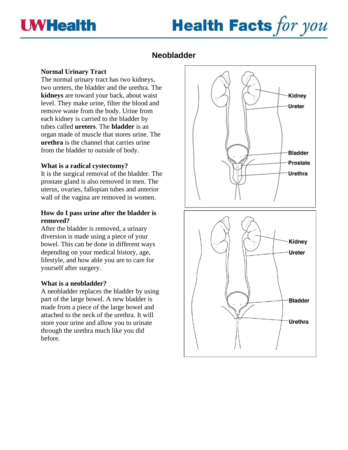

# **Health Facts for you**

# **Neobladder**

# **Normal Urinary Tract**

The normal urinary tract has two kidneys, two ureters, the bladder and the urethra. The **kidneys** are toward your back, about waist level. They make urine, filter the blood and remove waste from the body. Urine from each kidney is carried to the bladder by tubes called **ureters**. The **bladder** is an organ made of muscle that stores urine. The **urethra** is the channel that carries urine from the bladder to outside of body.

# **What is a radical cystectomy?**

It is the surgical removal of the bladder. The prostate gland is also removed in men. The uterus, ovaries, fallopian tubes and anterior wall of the vagina are removed in women.

# **How do I pass urine after the bladder is removed?**

After the bladder is removed, a urinary diversion is made using a piece of your bowel. This can be done in different ways depending on your medical history, age, lifestyle, and how able you are to care for yourself after surgery.

# **What is a neobladder?**

A neobladder replaces the bladder by using part of the large bowel. A new bladder is made from a piece of the large bowel and attached to the neck of the urethra. It will store your urine and allow you to urinate through the urethra much like you did before.

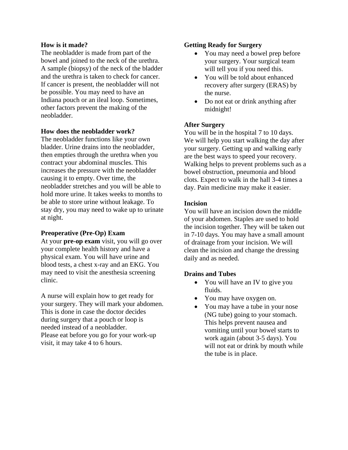# **How is it made?**

The neobladder is made from part of the bowel and joined to the neck of the urethra. A sample (biopsy) of the neck of the bladder and the urethra is taken to check for cancer. If cancer is present, the neobladder will not be possible. You may need to have an Indiana pouch or an ileal loop. Sometimes, other factors prevent the making of the neobladder.

# **How does the neobladder work?**

The neobladder functions like your own bladder. Urine drains into the neobladder, then empties through the urethra when you contract your abdominal muscles. This increases the pressure with the neobladder causing it to empty. Over time, the neobladder stretches and you will be able to hold more urine. It takes weeks to months to be able to store urine without leakage. To stay dry, you may need to wake up to urinate at night.

#### **Preoperative (Pre-Op) Exam**

At your **pre-op exam** visit, you will go over your complete health history and have a physical exam. You will have urine and blood tests, a chest x-ray and an EKG. You may need to visit the anesthesia screening clinic.

A nurse will explain how to get ready for your surgery. They will mark your abdomen. This is done in case the doctor decides during surgery that a pouch or loop is needed instead of a neobladder. Please eat before you go for your work-up visit, it may take 4 to 6 hours.

#### **Getting Ready for Surgery**

- You may need a bowel prep before your surgery. Your surgical team will tell you if you need this.
- You will be told about enhanced recovery after surgery (ERAS) by the nurse.
- Do not eat or drink anything after midnight!

#### **After Surgery**

You will be in the hospital 7 to 10 days. We will help you start walking the day after your surgery. Getting up and walking early are the best ways to speed your recovery. Walking helps to prevent problems such as a bowel obstruction, pneumonia and blood clots. Expect to walk in the hall 3-4 times a day. Pain medicine may make it easier.

#### **Incision**

You will have an incision down the middle of your abdomen. Staples are used to hold the incision together. They will be taken out in 7-10 days. You may have a small amount of drainage from your incision. We will clean the incision and change the dressing daily and as needed.

#### **Drains and Tubes**

- You will have an IV to give you fluids.
- You may have oxygen on.
- You may have a tube in your nose (NG tube) going to your stomach. This helps prevent nausea and vomiting until your bowel starts to work again (about 3-5 days). You will not eat or drink by mouth while the tube is in place.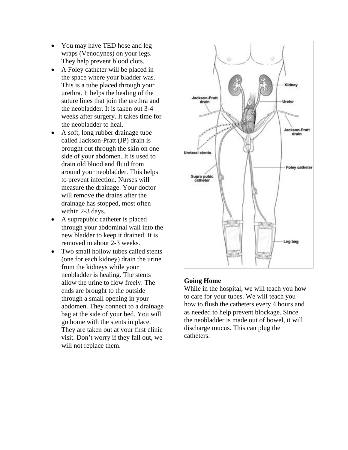- You may have TED hose and leg wraps (Venodynes) on your legs. They help prevent blood clots.
- A Foley catheter will be placed in the space where your bladder was. This is a tube placed through your urethra. It helps the healing of the suture lines that join the urethra and the neobladder. It is taken out 3-4 weeks after surgery. It takes time for the neobladder to heal.
- A soft, long rubber drainage tube called Jackson-Pratt (JP) drain is brought out through the skin on one side of your abdomen. It is used to drain old blood and fluid from around your neobladder. This helps to prevent infection. Nurses will measure the drainage. Your doctor will remove the drains after the drainage has stopped, most often within 2-3 days.
- A suprapubic catheter is placed through your abdominal wall into the new bladder to keep it drained. It is removed in about 2-3 weeks.
- Two small hollow tubes called stents (one for each kidney) drain the urine from the kidneys while your neobladder is healing. The stents allow the urine to flow freely. The ends are brought to the outside through a small opening in your abdomen. They connect to a drainage bag at the side of your bed. You will go home with the stents in place. They are taken out at your first clinic visit. Don't worry if they fall out, we will not replace them.



### **Going Home**

While in the hospital, we will teach you how to care for your tubes. We will teach you how to flush the catheters every 4 hours and as needed to help prevent blockage. Since the neobladder is made out of bowel, it will discharge mucus. This can plug the catheters.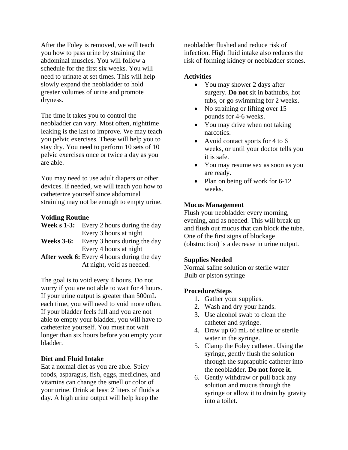After the Foley is removed, we will teach you how to pass urine by straining the abdominal muscles. You will follow a schedule for the first six weeks. You will need to urinate at set times. This will help slowly expand the neobladder to hold greater volumes of urine and promote dryness.

The time it takes you to control the neobladder can vary. Most often, nighttime leaking is the last to improve. We may teach you pelvic exercises. These will help you to stay dry. You need to perform 10 sets of 10 pelvic exercises once or twice a day as you are able.

You may need to use adult diapers or other devices. If needed, we will teach you how to catheterize yourself since abdominal straining may not be enough to empty urine.

#### **Voiding Routine**

|                   | <b>Week s 1-3:</b> Every 2 hours during the day   |
|-------------------|---------------------------------------------------|
|                   | Every 3 hours at night                            |
| <b>Weeks 3-6:</b> | Every 3 hours during the day                      |
|                   | Every 4 hours at night                            |
|                   | <b>After week 6:</b> Every 4 hours during the day |

At night, void as needed.

The goal is to void every 4 hours. Do not worry if you are not able to wait for 4 hours. If your urine output is greater than 500mL each time, you will need to void more often. If your bladder feels full and you are not able to empty your bladder, you will have to catheterize yourself. You must not wait longer than six hours before you empty your bladder.

#### **Diet and Fluid Intake**

Eat a normal diet as you are able. Spicy foods, asparagus, fish, eggs, medicines, and vitamins can change the smell or color of your urine. Drink at least 2 liters of fluids a day. A high urine output will help keep the

neobladder flushed and reduce risk of infection. High fluid intake also reduces the risk of forming kidney or neobladder stones.

#### **Activities**

- You may shower 2 days after surgery. **Do not** sit in bathtubs, hot tubs, or go swimming for 2 weeks.
- No straining or lifting over 15 pounds for 4-6 weeks.
- You may drive when not taking narcotics.
- Avoid contact sports for 4 to 6 weeks, or until your doctor tells you it is safe.
- You may resume sex as soon as you are ready.
- Plan on being off work for 6-12 weeks.

# **Mucus Management**

Flush your neobladder every morning, evening, and as needed. This will break up and flush out mucus that can block the tube. One of the first signs of blockage (obstruction) is a decrease in urine output.

# **Supplies Needed**

Normal saline solution or sterile water Bulb or piston syringe

# **Procedure/Steps**

- 1. Gather your supplies.
- 2. Wash and dry your hands.
- 3. Use alcohol swab to clean the catheter and syringe.
- 4. Draw up 60 mL of saline or sterile water in the syringe.
- 5. Clamp the Foley catheter. Using the syringe, gently flush the solution through the suprapubic catheter into the neobladder. **Do not force it.**
- 6. Gently withdraw or pull back any solution and mucus through the syringe or allow it to drain by gravity into a toilet.